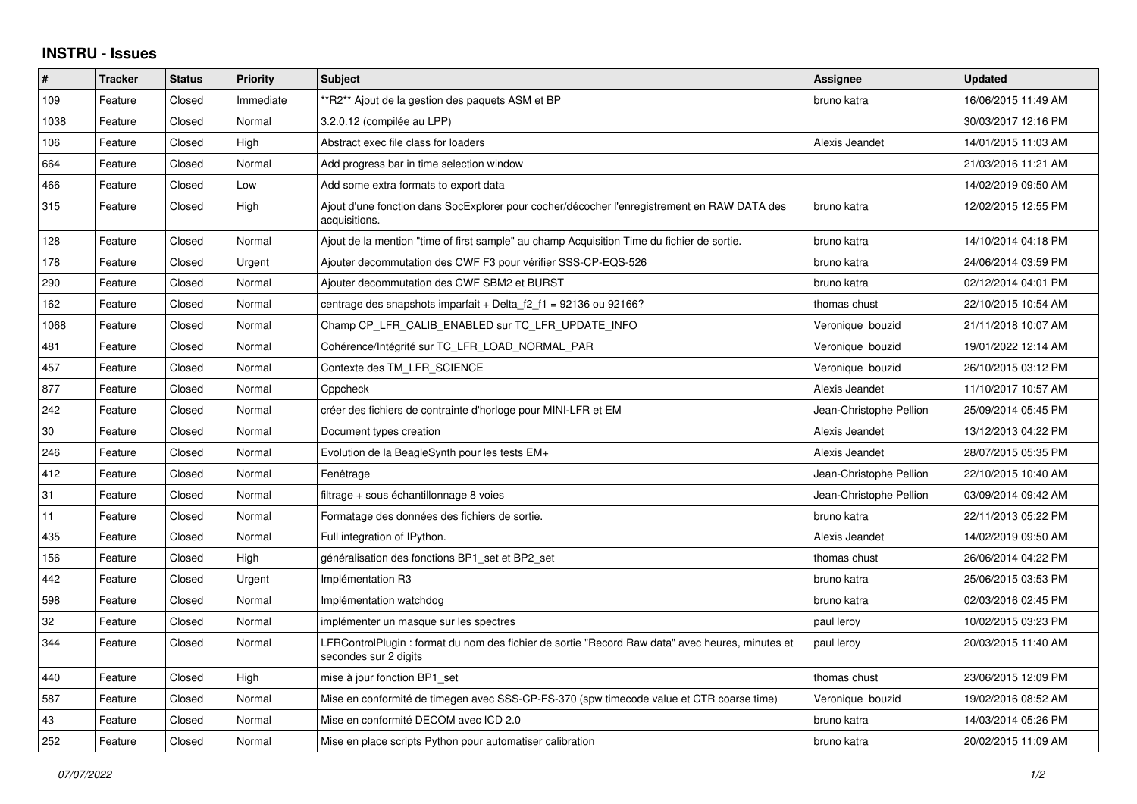## **INSTRU - Issues**

| #      | <b>Tracker</b> | <b>Status</b> | <b>Priority</b> | <b>Subject</b>                                                                                                            | Assignee                | <b>Updated</b>      |
|--------|----------------|---------------|-----------------|---------------------------------------------------------------------------------------------------------------------------|-------------------------|---------------------|
| 109    | Feature        | Closed        | Immediate       | **R2** Ajout de la gestion des paquets ASM et BP                                                                          | bruno katra             | 16/06/2015 11:49 AM |
| 1038   | Feature        | Closed        | Normal          | 3.2.0.12 (compilée au LPP)                                                                                                |                         | 30/03/2017 12:16 PM |
| 106    | Feature        | Closed        | High            | Abstract exec file class for loaders                                                                                      | Alexis Jeandet          | 14/01/2015 11:03 AM |
| 664    | Feature        | Closed        | Normal          | Add progress bar in time selection window                                                                                 |                         | 21/03/2016 11:21 AM |
| 466    | Feature        | Closed        | Low             | Add some extra formats to export data                                                                                     |                         | 14/02/2019 09:50 AM |
| 315    | Feature        | Closed        | High            | Ajout d'une fonction dans SocExplorer pour cocher/décocher l'enregistrement en RAW DATA des<br>acquisitions.              | bruno katra             | 12/02/2015 12:55 PM |
| 128    | Feature        | Closed        | Normal          | Ajout de la mention "time of first sample" au champ Acquisition Time du fichier de sortie.                                | bruno katra             | 14/10/2014 04:18 PM |
| 178    | Feature        | Closed        | Urgent          | Ajouter decommutation des CWF F3 pour vérifier SSS-CP-EQS-526                                                             | bruno katra             | 24/06/2014 03:59 PM |
| 290    | Feature        | Closed        | Normal          | Ajouter decommutation des CWF SBM2 et BURST                                                                               | bruno katra             | 02/12/2014 04:01 PM |
| 162    | Feature        | Closed        | Normal          | centrage des snapshots imparfait + Delta $f2_f1 = 92136$ ou 92166?                                                        | thomas chust            | 22/10/2015 10:54 AM |
| 1068   | Feature        | Closed        | Normal          | Champ CP LFR CALIB ENABLED sur TC LFR UPDATE INFO                                                                         | Veronique bouzid        | 21/11/2018 10:07 AM |
| 481    | Feature        | Closed        | Normal          | Cohérence/Intégrité sur TC LFR LOAD NORMAL PAR                                                                            | Veronique bouzid        | 19/01/2022 12:14 AM |
| 457    | Feature        | Closed        | Normal          | Contexte des TM LFR SCIENCE                                                                                               | Veronique bouzid        | 26/10/2015 03:12 PM |
| 877    | Feature        | Closed        | Normal          | Cppcheck                                                                                                                  | Alexis Jeandet          | 11/10/2017 10:57 AM |
| 242    | Feature        | Closed        | Normal          | créer des fichiers de contrainte d'horloge pour MINI-LFR et EM                                                            | Jean-Christophe Pellion | 25/09/2014 05:45 PM |
| $30\,$ | Feature        | Closed        | Normal          | Document types creation                                                                                                   | Alexis Jeandet          | 13/12/2013 04:22 PM |
| 246    | Feature        | Closed        | Normal          | Evolution de la BeagleSynth pour les tests EM+                                                                            | Alexis Jeandet          | 28/07/2015 05:35 PM |
| 412    | Feature        | Closed        | Normal          | Fenêtrage                                                                                                                 | Jean-Christophe Pellion | 22/10/2015 10:40 AM |
| 31     | Feature        | Closed        | Normal          | filtrage + sous échantillonnage 8 voies                                                                                   | Jean-Christophe Pellion | 03/09/2014 09:42 AM |
| 11     | Feature        | Closed        | Normal          | Formatage des données des fichiers de sortie.                                                                             | bruno katra             | 22/11/2013 05:22 PM |
| 435    | Feature        | Closed        | Normal          | Full integration of IPython.                                                                                              | Alexis Jeandet          | 14/02/2019 09:50 AM |
| 156    | Feature        | Closed        | High            | généralisation des fonctions BP1_set et BP2_set                                                                           | thomas chust            | 26/06/2014 04:22 PM |
| 442    | Feature        | Closed        | Urgent          | Implémentation R3                                                                                                         | bruno katra             | 25/06/2015 03:53 PM |
| 598    | Feature        | Closed        | Normal          | Implémentation watchdog                                                                                                   | bruno katra             | 02/03/2016 02:45 PM |
| 32     | Feature        | Closed        | Normal          | implémenter un masque sur les spectres                                                                                    | paul leroy              | 10/02/2015 03:23 PM |
| 344    | Feature        | Closed        | Normal          | LFRControlPlugin : format du nom des fichier de sortie "Record Raw data" avec heures, minutes et<br>secondes sur 2 digits | paul leroy              | 20/03/2015 11:40 AM |
| 440    | Feature        | Closed        | High            | mise à jour fonction BP1 set                                                                                              | thomas chust            | 23/06/2015 12:09 PM |
| 587    | Feature        | Closed        | Normal          | Mise en conformité de timegen avec SSS-CP-FS-370 (spw timecode value et CTR coarse time)                                  | Veronique bouzid        | 19/02/2016 08:52 AM |
| 43     | Feature        | Closed        | Normal          | Mise en conformité DECOM avec ICD 2.0                                                                                     | bruno katra             | 14/03/2014 05:26 PM |
| 252    | Feature        | Closed        | Normal          | Mise en place scripts Python pour automatiser calibration                                                                 | l bruno katra           | 20/02/2015 11:09 AM |